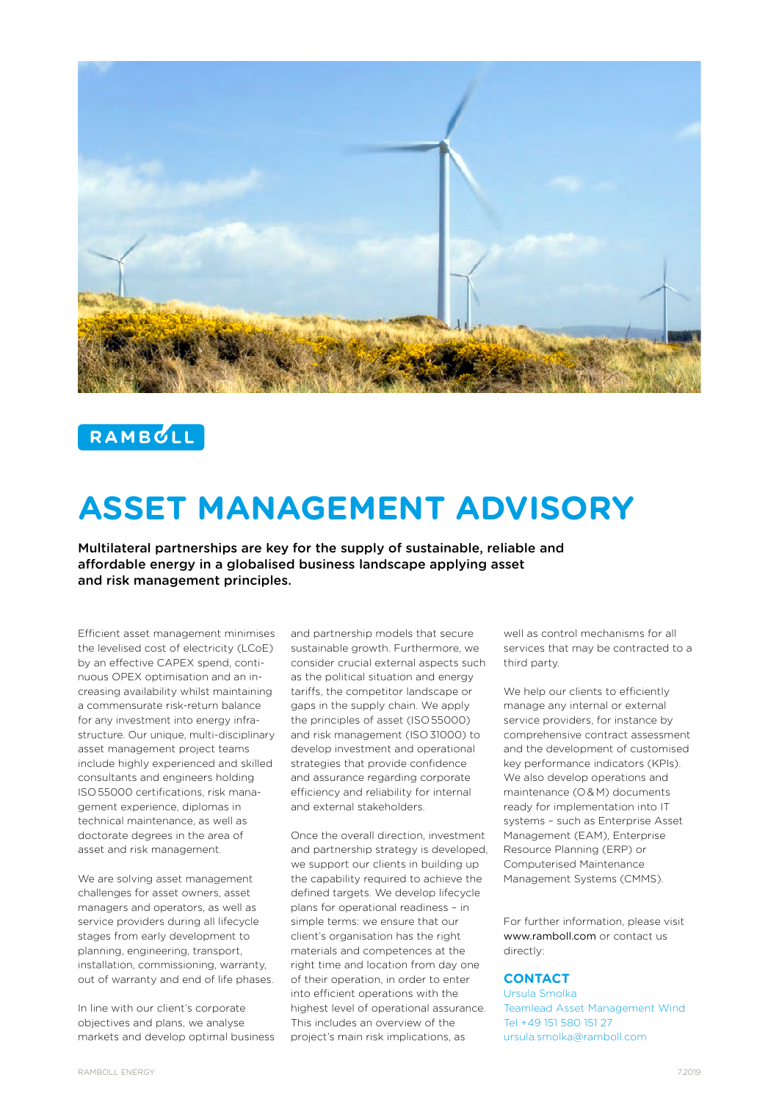

# RAMBULL

# **ASSET MANAGEMENT ADVISORY**

Multilateral partnerships are key for the supply of sustainable, reliable and affordable energy in a globalised business landscape applying asset and risk management principles.

Efficient asset management minimises the levelised cost of electricity (LCoE) by an effective CAPEX spend, continuous OPEX optimisation and an increasing availability whilst maintaining a commensurate risk-return balance for any investment into energy infrastructure. Our unique, multi-disciplinary asset management project teams include highly experienced and skilled consultants and engineers holding ISO 55000 certifications, risk management experience, diplomas in technical maintenance, as well as doctorate degrees in the area of asset and risk management.

We are solving asset management challenges for asset owners, asset managers and operators, as well as service providers during all lifecycle stages from early development to planning, engineering, transport, installation, commissioning, warranty, out of warranty and end of life phases.

In line with our client's corporate objectives and plans, we analyse markets and develop optimal business and partnership models that secure sustainable growth. Furthermore, we consider crucial external aspects such as the political situation and energy tariffs, the competitor landscape or gaps in the supply chain. We apply the principles of asset (ISO 55000) and risk management (ISO 31000) to develop investment and operational strategies that provide confidence and assurance regarding corporate efficiency and reliability for internal and external stakeholders.

Once the overall direction, investment and partnership strategy is developed, we support our clients in building up the capability required to achieve the defined targets. We develop lifecycle plans for operational readiness – in simple terms: we ensure that our client's organisation has the right materials and competences at the right time and location from day one of their operation, in order to enter into efficient operations with the highest level of operational assurance. This includes an overview of the project's main risk implications, as

well as control mechanisms for all services that may be contracted to a third party.

We help our clients to efficiently manage any internal or external service providers, for instance by comprehensive contract assessment and the development of customised key performance indicators (KPIs). We also develop operations and maintenance (O & M) documents ready for implementation into IT systems – such as Enterprise Asset Management (EAM), Enterprise Resource Planning (ERP) or Computerised Maintenance Management Systems (CMMS).

For further information, please visit www.ramboll.com or contact us directly:

# **CONTACT**

Ursula Smolka Teamlead Asset Management Wind Tel +49 151 580 151 27 ursula.smolka@ramboll.com